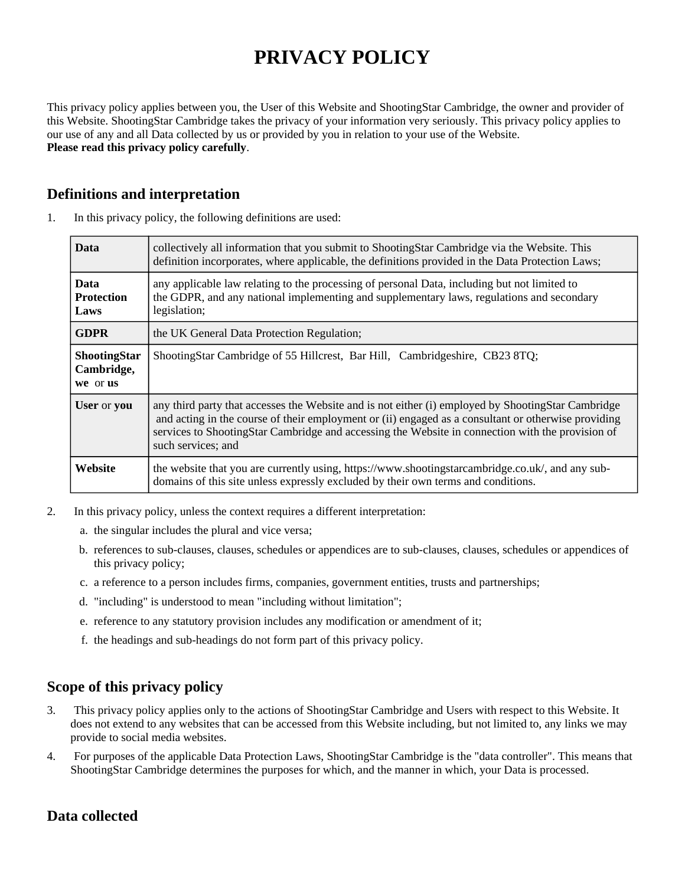# **PRIVACY POLICY**

This privacy policy applies between you, the User of this Website and ShootingStar Cambridge, the owner and provider of this Website. ShootingStar Cambridge takes the privacy of your information very seriously. This privacy policy applies to our use of any and all Data collected by us or provided by you in relation to your use of the Website. **Please read this privacy policy carefully**.

## **Definitions and interpretation**

| <b>Data</b>                                   | collectively all information that you submit to ShootingStar Cambridge via the Website. This<br>definition incorporates, where applicable, the definitions provided in the Data Protection Laws;                                                                                                                                    |
|-----------------------------------------------|-------------------------------------------------------------------------------------------------------------------------------------------------------------------------------------------------------------------------------------------------------------------------------------------------------------------------------------|
| <b>Data</b><br><b>Protection</b><br>Laws      | any applicable law relating to the processing of personal Data, including but not limited to<br>the GDPR, and any national implementing and supplementary laws, regulations and secondary<br>legislation;                                                                                                                           |
| <b>GDPR</b>                                   | the UK General Data Protection Regulation;                                                                                                                                                                                                                                                                                          |
| <b>ShootingStar</b><br>Cambridge,<br>we or us | ShootingStar Cambridge of 55 Hillcrest, Bar Hill, Cambridgeshire, CB23 8TQ;                                                                                                                                                                                                                                                         |
| User or you                                   | any third party that accesses the Website and is not either (i) employed by ShootingStar Cambridge<br>and acting in the course of their employment or (ii) engaged as a consultant or otherwise providing<br>services to ShootingStar Cambridge and accessing the Website in connection with the provision of<br>such services; and |
| Website                                       | the website that you are currently using, https://www.shootingstarcambridge.co.uk/, and any sub-<br>domains of this site unless expressly excluded by their own terms and conditions.                                                                                                                                               |

1. In this privacy policy, the following definitions are used:

- 2. In this privacy policy, unless the context requires a different interpretation:
	- a. the singular includes the plural and vice versa;
	- b. references to sub-clauses, clauses, schedules or appendices are to sub-clauses, clauses, schedules or appendices of this privacy policy;
	- c. a reference to a person includes firms, companies, government entities, trusts and partnerships;
	- d. "including" is understood to mean "including without limitation";
	- e. reference to any statutory provision includes any modification or amendment of it;
	- f. the headings and sub-headings do not form part of this privacy policy.

## **Scope of this privacy policy**

- 3. This privacy policy applies only to the actions of ShootingStar Cambridge and Users with respect to this Website. It does not extend to any websites that can be accessed from this Website including, but not limited to, any links we may provide to social media websites.
- 4. For purposes of the applicable Data Protection Laws, ShootingStar Cambridge is the "data controller". This means that ShootingStar Cambridge determines the purposes for which, and the manner in which, your Data is processed.

## **Data collected**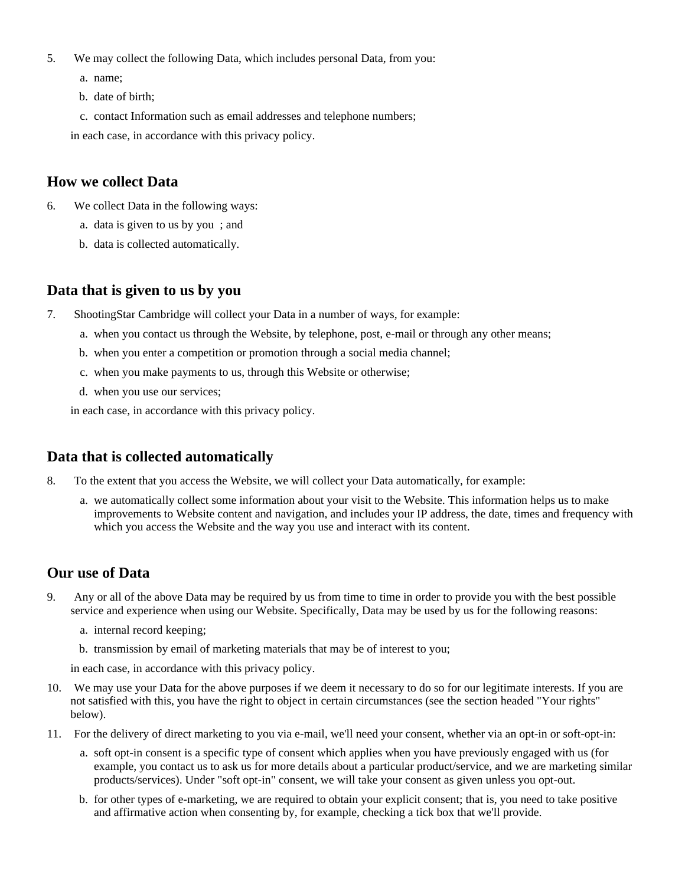- 5. We may collect the following Data, which includes personal Data, from you:
	- a. name;
	- b. date of birth;
	- c. contact Information such as email addresses and telephone numbers;

in each case, in accordance with this privacy policy.

## **How we collect Data**

- 6. We collect Data in the following ways:
	- a. data is given to us by you ; and
	- b. data is collected automatically.

## **Data that is given to us by you**

- 7. ShootingStar Cambridge will collect your Data in a number of ways, for example:
	- a. when you contact us through the Website, by telephone, post, e-mail or through any other means;
	- b. when you enter a competition or promotion through a social media channel;
	- c. when you make payments to us, through this Website or otherwise;
	- d. when you use our services;

in each case, in accordance with this privacy policy.

## **Data that is collected automatically**

- 8. To the extent that you access the Website, we will collect your Data automatically, for example:
	- a. we automatically collect some information about your visit to the Website. This information helps us to make improvements to Website content and navigation, and includes your IP address, the date, times and frequency with which you access the Website and the way you use and interact with its content.

## **Our use of Data**

- 9. Any or all of the above Data may be required by us from time to time in order to provide you with the best possible service and experience when using our Website. Specifically, Data may be used by us for the following reasons:
	- a. internal record keeping;
	- b. transmission by email of marketing materials that may be of interest to you;

in each case, in accordance with this privacy policy.

- 10. We may use your Data for the above purposes if we deem it necessary to do so for our legitimate interests. If you are not satisfied with this, you have the right to object in certain circumstances (see the section headed "Your rights" below).
- 11. For the delivery of direct marketing to you via e-mail, we'll need your consent, whether via an opt-in or soft-opt-in:
	- a. soft opt-in consent is a specific type of consent which applies when you have previously engaged with us (for example, you contact us to ask us for more details about a particular product/service, and we are marketing similar products/services). Under "soft opt-in" consent, we will take your consent as given unless you opt-out.
	- b. for other types of e-marketing, we are required to obtain your explicit consent; that is, you need to take positive and affirmative action when consenting by, for example, checking a tick box that we'll provide.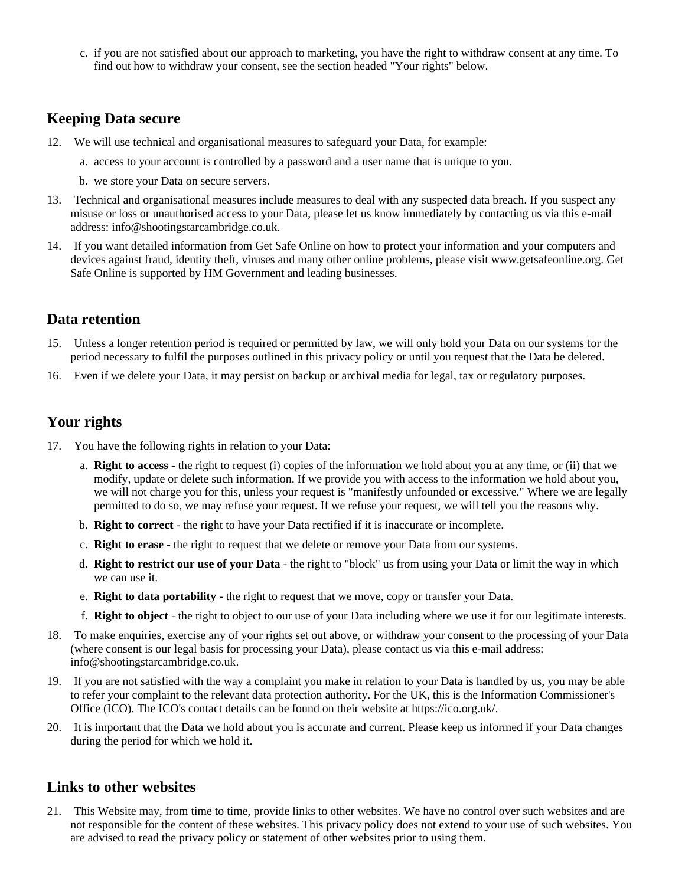c. if you are not satisfied about our approach to marketing, you have the right to withdraw consent at any time. To find out how to withdraw your consent, see the section headed "Your rights" below.

#### **Keeping Data secure**

- 12. We will use technical and organisational measures to safeguard your Data, for example:
	- a. access to your account is controlled by a password and a user name that is unique to you.
	- b. we store your Data on secure servers.
- 13. Technical and organisational measures include measures to deal with any suspected data breach. If you suspect any misuse or loss or unauthorised access to your Data, please let us know immediately by contacting us via this e-mail address: info@shootingstarcambridge.co.uk.
- 14. If you want detailed information from Get Safe Online on how to protect your information and your computers and devices against fraud, identity theft, viruses and many other online problems, please visit www.getsafeonline.org. Get Safe Online is supported by HM Government and leading businesses.

#### **Data retention**

- 15. Unless a longer retention period is required or permitted by law, we will only hold your Data on our systems for the period necessary to fulfil the purposes outlined in this privacy policy or until you request that the Data be deleted.
- 16. Even if we delete your Data, it may persist on backup or archival media for legal, tax or regulatory purposes.

## **Your rights**

- 17. You have the following rights in relation to your Data:
	- a. **Right to access** the right to request (i) copies of the information we hold about you at any time, or (ii) that we modify, update or delete such information. If we provide you with access to the information we hold about you, we will not charge you for this, unless your request is "manifestly unfounded or excessive." Where we are legally permitted to do so, we may refuse your request. If we refuse your request, we will tell you the reasons why.
	- b. **Right to correct** the right to have your Data rectified if it is inaccurate or incomplete.
	- c. **Right to erase** the right to request that we delete or remove your Data from our systems.
	- d. **Right to restrict our use of your Data** the right to "block" us from using your Data or limit the way in which we can use it.
	- e. **Right to data portability** the right to request that we move, copy or transfer your Data.
	- f. **Right to object** the right to object to our use of your Data including where we use it for our legitimate interests.
- 18. To make enquiries, exercise any of your rights set out above, or withdraw your consent to the processing of your Data (where consent is our legal basis for processing your Data), please contact us via this e-mail address: info@shootingstarcambridge.co.uk.
- 19. If you are not satisfied with the way a complaint you make in relation to your Data is handled by us, you may be able to refer your complaint to the relevant data protection authority. For the UK, this is the Information Commissioner's Office (ICO). The ICO's contact details can be found on their website at https://ico.org.uk/.
- 20. It is important that the Data we hold about you is accurate and current. Please keep us informed if your Data changes during the period for which we hold it.

#### **Links to other websites**

21. This Website may, from time to time, provide links to other websites. We have no control over such websites and are not responsible for the content of these websites. This privacy policy does not extend to your use of such websites. You are advised to read the privacy policy or statement of other websites prior to using them.